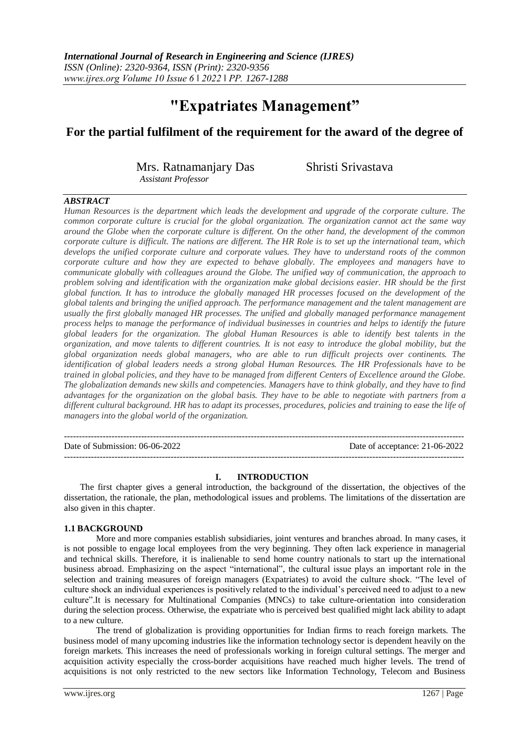# **"Expatriates Management"**

# **For the partial fulfilment of the requirement for the award of the degree of**

Mrs. Ratnamanjary Das Shristi Srivastava

 *Assistant Professor* 

# *ABSTRACT*

*Human Resources is the department which leads the development and upgrade of the corporate culture. The common corporate culture is crucial for the global organization. The organization cannot act the same way around the Globe when the corporate culture is different. On the other hand, the development of the common corporate culture is difficult. The nations are different. The HR Role is to set up the international team, which develops the unified corporate culture and corporate values. They have to understand roots of the common corporate culture and how they are expected to behave globally. The employees and managers have to communicate globally with colleagues around the Globe. The unified way of communication, the approach to problem solving and identification with the organization make global decisions easier. HR should be the first global function. It has to introduce the globally managed HR processes focused on the development of the global talents and bringing the unified approach. The performance management and the talent management are usually the first globally managed HR processes. The unified and globally managed performance management process helps to manage the performance of individual businesses in countries and helps to identify the future global leaders for the organization. The global Human Resources is able to identify best talents in the organization, and move talents to different countries. It is not easy to introduce the global mobility, but the global organization needs global managers, who are able to run difficult projects over continents. The identification of global leaders needs a strong global Human Resources. The HR Professionals have to be trained in global policies, and they have to be managed from different Centers of Excellence around the Globe. The globalization demands new skills and competencies. Managers have to think globally, and they have to find advantages for the organization on the global basis. They have to be able to negotiate with partners from a different cultural background. HR has to adapt its processes, procedures, policies and training to ease the life of managers into the global world of the organization.*

--------------------------------------------------------------------------------------------------------------------------------------- Date of Submission: 06-06-2022 Date of acceptance: 21-06-2022 ---------------------------------------------------------------------------------------------------------------------------------------

# **I. INTRODUCTION**

The first chapter gives a general introduction, the background of the dissertation, the objectives of the dissertation, the rationale, the plan, methodological issues and problems. The limitations of the dissertation are also given in this chapter.

# **1.1 BACKGROUND**

More and more companies establish subsidiaries, joint ventures and branches abroad. In many cases, it is not possible to engage local employees from the very beginning. They often lack experience in managerial and technical skills. Therefore, it is inalienable to send home country nationals to start up the international business abroad. Emphasizing on the aspect "international", the cultural issue plays an important role in the selection and training measures of foreign managers (Expatriates) to avoid the culture shock. "The level of culture shock an individual experiences is positively related to the individual's perceived need to adjust to a new culture".It is necessary for Multinational Companies (MNCs) to take culture-orientation into consideration during the selection process. Otherwise, the expatriate who is perceived best qualified might lack ability to adapt to a new culture.

The trend of globalization is providing opportunities for Indian firms to reach foreign markets. The business model of many upcoming industries like the information technology sector is dependent heavily on the foreign markets. This increases the need of professionals working in foreign cultural settings. The merger and acquisition activity especially the cross-border acquisitions have reached much higher levels. The trend of acquisitions is not only restricted to the new sectors like Information Technology, Telecom and Business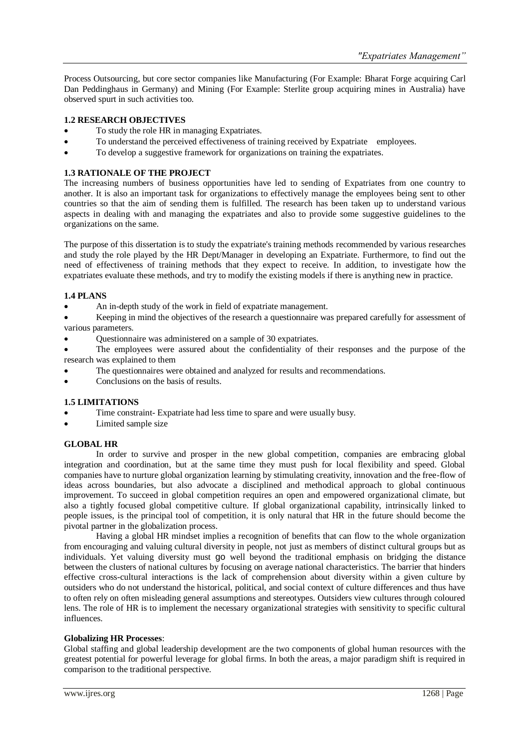Process Outsourcing, but core sector companies like Manufacturing (For Example: Bharat Forge acquiring Carl Dan Peddinghaus in Germany) and Mining (For Example: Sterlite group acquiring mines in Australia) have observed spurt in such activities too.

# **1.2 RESEARCH OBJECTIVES**

- To study the role HR in managing Expatriates.
- To understand the perceived effectiveness of training received by Expatriate employees.
- To develop a suggestive framework for organizations on training the expatriates.

# **1.3 RATIONALE OF THE PROJECT**

The increasing numbers of business opportunities have led to sending of Expatriates from one country to another. It is also an important task for organizations to effectively manage the employees being sent to other countries so that the aim of sending them is fulfilled. The research has been taken up to understand various aspects in dealing with and managing the expatriates and also to provide some suggestive guidelines to the organizations on the same.

The purpose of this dissertation is to study the expatriate's training methods recommended by various researches and study the role played by the HR Dept/Manager in developing an Expatriate. Furthermore, to find out the need of effectiveness of training methods that they expect to receive. In addition, to investigate how the expatriates evaluate these methods, and try to modify the existing models if there is anything new in practice.

#### **1.4 PLANS**

An in-depth study of the work in field of expatriate management.

 Keeping in mind the objectives of the research a questionnaire was prepared carefully for assessment of various parameters.

- Questionnaire was administered on a sample of 30 expatriates.
- The employees were assured about the confidentiality of their responses and the purpose of the research was explained to them
- The questionnaires were obtained and analyzed for results and recommendations.
- Conclusions on the basis of results.

#### **1.5 LIMITATIONS**

- Time constraint- Expatriate had less time to spare and were usually busy.
- Limited sample size

#### **GLOBAL HR**

In order to survive and prosper in the new global competition, companies are embracing global integration and coordination, but at the same time they must push for local flexibility and speed. Global companies have to nurture global organization learning by stimulating creativity, innovation and the free-flow of ideas across boundaries, but also advocate a disciplined and methodical approach to global continuous improvement. To succeed in global competition requires an open and empowered organizational climate, but also a tightly focused global competitive culture. If global organizational capability, intrinsically linked to people issues, is the principal tool of competition, it is only natural that HR in the future should become the pivotal partner in the globalization process.

Having a global HR mindset implies a recognition of benefits that can flow to the whole organization from encouraging and valuing cultural diversity in people, not just as members of distinct cultural groups but as individuals. Yet valuing diversity must go well beyond the traditional emphasis on bridging the distance between the clusters of national cultures by focusing on average national characteristics. The barrier that hinders effective cross-cultural interactions is the lack of comprehension about diversity within a given culture by outsiders who do not understand the historical, political, and social context of culture differences and thus have to often rely on often misleading general assumptions and stereotypes. Outsiders view cultures through coloured lens. The role of HR is to implement the necessary organizational strategies with sensitivity to specific cultural influences.

#### **Globalizing HR Processes**:

Global staffing and global leadership development are the two components of global human resources with the greatest potential for powerful leverage for global firms. In both the areas, a major paradigm shift is required in comparison to the traditional perspective.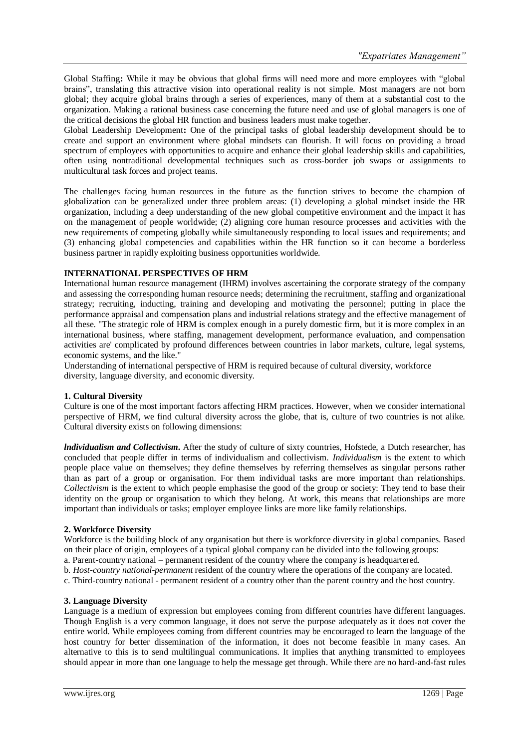Global Staffing**:** While it may be obvious that global firms will need more and more employees with "global brains", translating this attractive vision into operational reality is not simple. Most managers are not born global; they acquire global brains through a series of experiences, many of them at a substantial cost to the organization. Making a rational business case concerning the future need and use of global managers is one of the critical decisions the global HR function and business leaders must make together.

Global Leadership Development**:** One of the principal tasks of global leadership development should be to create and support an environment where global mindsets can flourish. It will focus on providing a broad spectrum of employees with opportunities to acquire and enhance their global leadership skills and capabilities, often using nontraditional developmental techniques such as cross-border job swaps or assignments to multicultural task forces and project teams.

The challenges facing human resources in the future as the function strives to become the champion of globalization can be generalized under three problem areas: (1) developing a global mindset inside the HR organization, including a deep understanding of the new global competitive environment and the impact it has on the management of people worldwide; (2) aligning core human resource processes and activities with the new requirements of competing globally while simultaneously responding to local issues and requirements; and (3) enhancing global competencies and capabilities within the HR function so it can become a borderless business partner in rapidly exploiting business opportunities worldwide.

# **INTERNATIONAL PERSPECTIVES OF HRM**

International human resource management (IHRM) involves ascertaining the corporate strategy of the company and assessing the corresponding human resource needs; determining the recruitment, staffing and organizational strategy; recruiting, inducting, training and developing and motivating the personnel; putting in place the performance appraisal and compensation plans and industrial relations strategy and the effective management of all these. "The strategic role of HRM is complex enough in a purely domestic firm, but it is more complex in an international business, where staffing, management development, performance evaluation, and compensation activities are' complicated by profound differences between countries in labor markets, culture, legal systems, economic systems, and the like."

Understanding of international perspective of HRM is required because of cultural diversity, workforce diversity, language diversity, and economic diversity.

#### **1. Cultural Diversity**

Culture is one of the most important factors affecting HRM practices. However, when we consider international perspective of HRM, we find cultural diversity across the globe, that is, culture of two countries is not alike. Cultural diversity exists on following dimensions:

*lndividualism and Collectivism*. After the study of culture of sixty countries, Hofstede, a Dutch researcher, has concluded that people differ in terms of individualism and collectivism. *Individualism* is the extent to which people place value on themselves; they define themselves by referring themselves as singular persons rather than as part of a group or organisation. For them individual tasks are more important than relationships. *Collectivism* is the extent to which people emphasise the good of the group or society: They tend to base their identity on the group or organisation to which they belong. At work, this means that relationships are more important than individuals or tasks; employer employee links are more like family relationships.

#### **2. Workforce Diversity**

Workforce is the building block of any organisation but there is workforce diversity in global companies. Based on their place of origin, employees of a typical global company can be divided into the following groups:

a. Parent-country national – permanent resident of the country where the company is headquartered.

b. *Host-country national-permanent* resident of the country where the operations of the company are located. c. Third-country national - permanent resident of a country other than the parent country and the host country.

#### **3. Language Diversity**

Language is a medium of expression but employees coming from different countries have different languages. Though English is a very common language, it does not serve the purpose adequately as it does not cover the entire world. While employees coming from different countries may be encouraged to learn the language of the host country for better dissemination of the information, it does not become feasible in many cases. An alternative to this is to send multilingual communications. It implies that anything transmitted to employees should appear in more than one language to help the message get through. While there are no hard-and-fast rules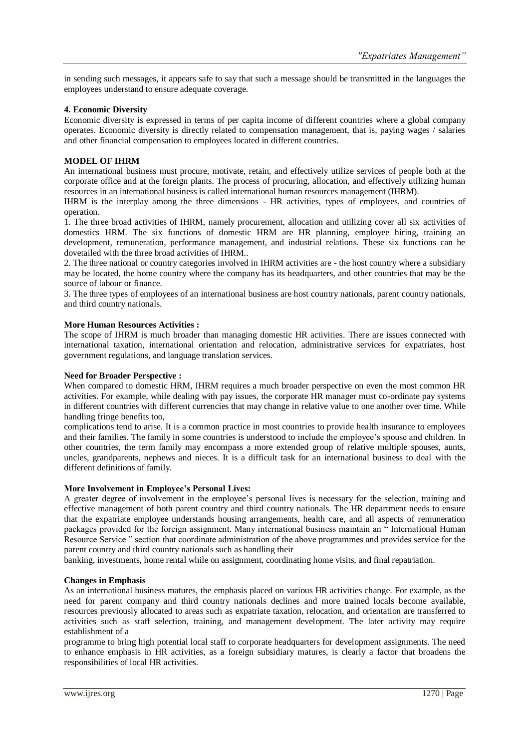in sending such messages, it appears safe to say that such a message should be transmitted in the languages the employees understand to ensure adequate coverage.

#### **4. Economic Diversity**

Economic diversity is expressed in terms of per capita income of different countries where a global company operates. Economic diversity is directly related to compensation management, that is, paying wages / salaries and other financial compensation to employees located in different countries.

#### **MODEL OF IHRM**

An international business must procure, motivate, retain, and effectively utilize services of people both at the corporate office and at the foreign plants. The process of procuring, allocation, and effectively utilizing human resources in an international business is called international human resources management (IHRM).

IHRM is the interplay among the three dimensions - HR activities, types of employees, and countries of operation.

1. The three broad activities of IHRM, namely procurement, allocation and utilizing cover all six activities of domestics HRM. The six functions of domestic HRM are HR planning, employee hiring, training an development, remuneration, performance management, and industrial relations. These six functions can be dovetailed with the three broad activities of IHRM..

2. The three national or country categories involved in IHRM activities are - the host country where a subsidiary may be located, the home country where the company has its headquarters, and other countries that may be the source of labour or finance.

3. The three types of employees of an international business are host country nationals, parent country nationals, and third country nationals.

#### **More Human Resources Activities :**

The scope of IHRM is much broader than managing domestic HR activities. There are issues connected with international taxation, international orientation and relocation, administrative services for expatriates, host government regulations, and language translation services.

#### **Need for Broader Perspective :**

When compared to domestic HRM, IHRM requires a much broader perspective on even the most common HR activities. For example, while dealing with pay issues, the corporate HR manager must co-ordinate pay systems in different countries with different currencies that may change in relative value to one another over time. While handling fringe benefits too,

complications tend to arise. It is a common practice in most countries to provide health insurance to employees and their families. The family in some countries is understood to include the employee's spouse and children. In other countries, the term family may encompass a more extended group of relative multiple spouses, aunts, uncles, grandparents, nephews and nieces. It is a difficult task for an international business to deal with the different definitions of family.

#### **More Involvement in Employee's Personal Lives:**

A greater degree of involvement in the employee's personal lives is necessary for the selection, training and effective management of both parent country and third country nationals. The HR department needs to ensure that the expatriate employee understands housing arrangements, health care, and all aspects of remuneration packages provided for the foreign assignment. Many international business maintain an " International Human Resource Service " section that coordinate administration of the above programmes and provides service for the parent country and third country nationals such as handling their

banking, investments, home rental while on assignment, coordinating home visits, and final repatriation.

#### **Changes in Emphasis**

As an international business matures, the emphasis placed on various HR activities change. For example, as the need for parent company and third country nationals declines and more trained locals become available, resources previously allocated to areas such as expatriate taxation, relocation, and orientation are transferred to activities such as staff selection, training, and management development. The later activity may require establishment of a

programme to bring high potential local staff to corporate headquarters for development assignments. The need to enhance emphasis in HR activities, as a foreign subsidiary matures, is clearly a factor that broadens the responsibilities of local HR activities.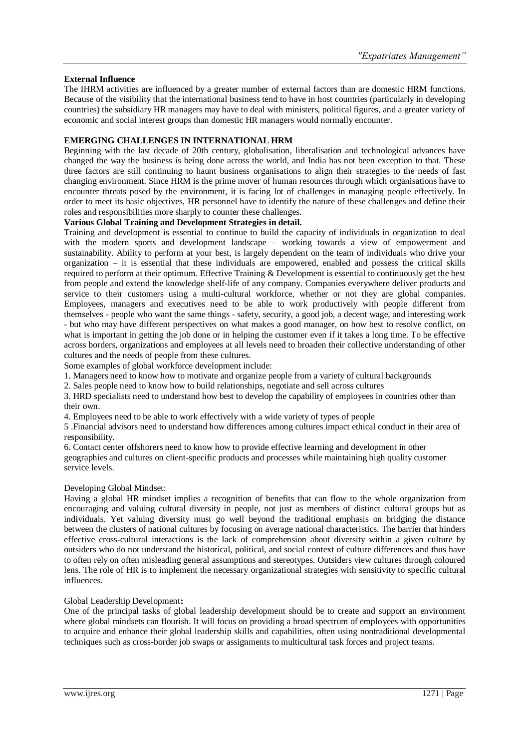### **External Influence**

The IHRM activities are influenced by a greater number of external factors than are domestic HRM functions. Because of the visibility that the international business tend to have in host countries (particularly in developing countries) the subsidiary HR managers may have to deal with ministers, political figures, and a greater variety of economic and social interest groups than domestic HR managers would normally encounter.

#### **EMERGING CHALLENGES IN INTERNATIONAL HRM**

Beginning with the last decade of 20th century, globalisation, liberalisation and technological advances have changed the way the business is being done across the world, and India has not been exception to that. These three factors are still continuing to haunt business organisations to align their strategies to the needs of fast changing environment. Since HRM is the prime mover of human resources through which organisations have to encounter threats posed by the environment, it is facing lot of challenges in managing people effectively. In order to meet its basic objectives, HR personnel have to identify the nature of these challenges and define their roles and responsibilities more sharply to counter these challenges.

#### **Various Global Training and Development Strategies in detail.**

Training and development is essential to continue to build the capacity of individuals in organization to deal with the modern sports and development landscape – working towards a view of empowerment and sustainability. Ability to perform at your best, is largely dependent on the team of individuals who drive your organization – it is essential that these individuals are empowered, enabled and possess the critical skills required to perform at their optimum. Effective Training & Development is essential to continuously get the best from people and extend the knowledge shelf-life of any company. Companies everywhere deliver products and service to their customers using a multi-cultural workforce, whether or not they are global companies. Employees, managers and executives need to be able to work productively with people different from themselves - people who want the same things - safety, security, a good job, a decent wage, and interesting work - but who may have different perspectives on what makes a good manager, on how best to resolve conflict, on what is important in getting the job done or in helping the customer even if it takes a long time. To be effective across borders, organizations and employees at all levels need to broaden their collective understanding of other cultures and the needs of people from these cultures.

Some examples of global workforce development include:

1. Managers need to know how to motivate and organize people from a variety of cultural backgrounds

2. Sales people need to know how to build relationships, negotiate and sell across cultures

3. HRD specialists need to understand how best to develop the capability of employees in countries other than their own.

4. Employees need to be able to work effectively with a wide variety of types of people

5 .Financial advisors need to understand how differences among cultures impact ethical conduct in their area of responsibility.

6. Contact center offshorers need to know how to provide effective learning and development in other geographies and cultures on client-specific products and processes while maintaining high quality customer service levels.

#### Developing Global Mindset:

Having a global HR mindset implies a recognition of benefits that can flow to the whole organization from encouraging and valuing cultural diversity in people, not just as members of distinct cultural groups but as individuals. Yet valuing diversity must go well beyond the traditional emphasis on bridging the distance between the clusters of national cultures by focusing on average national characteristics. The barrier that hinders effective cross-cultural interactions is the lack of comprehension about diversity within a given culture by outsiders who do not understand the historical, political, and social context of culture differences and thus have to often rely on often misleading general assumptions and stereotypes. Outsiders view cultures through coloured lens. The role of HR is to implement the necessary organizational strategies with sensitivity to specific cultural influences.

#### Global Leadership Development**:**

One of the principal tasks of global leadership development should be to create and support an environment where global mindsets can flourish. It will focus on providing a broad spectrum of employees with opportunities to acquire and enhance their global leadership skills and capabilities, often using nontraditional developmental techniques such as cross-border job swaps or assignments to multicultural task forces and project teams.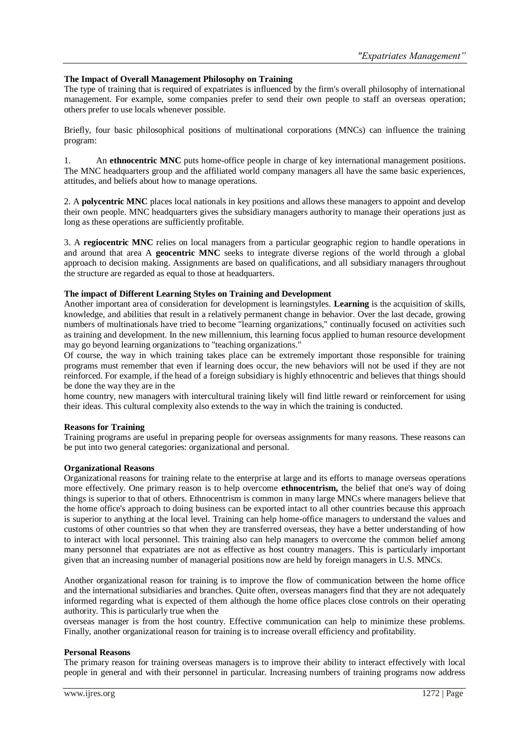#### **The Impact of Overall Management Philosophy on Training**

The type of training that is required of expatriates is influenced by the firm's overall philosophy of international management. For example, some companies prefer to send their own people to staff an overseas operation; others prefer to use locals whenever possible.

Briefly, four basic philosophical positions of multinational corporations (MNCs) can influence the training program:

1. An **ethnocentric MNC** puts home-office people in charge of key international management positions. The MNC headquarters group and the affiliated world company managers all have the same basic experiences, attitudes, and beliefs about how to manage operations.

2. A **polycentric MNC** places local nationals in key positions and allows these managers to appoint and develop their own people. MNC headquarters gives the subsidiary managers authority to manage their operations just as long as these operations are sufficiently profitable.

3. A **regiocentric MNC** relies on local managers from a particular geographic region to handle operations in and around that area A **geocentric MNC** seeks to integrate diverse regions of the world through a global approach to decision making. Assignments are based on qualifications, and all subsidiary managers throughout the structure are regarded as equal to those at headquarters.

#### **The impact of Different Learning Styles on Training and Development**

Another important area of consideration for development is learningstyles. **Learning** is the acquisition of skills, knowledge, and abilities that result in a relatively permanent change in behavior. Over the last decade, growing numbers of multinationals have tried to become "learning organizations," continually focused on activities such as training and development. In the new millennium, this learning focus applied to human resource development may go beyond learning organizations to "teaching organizations."

Of course, the way in which training takes place can be extremely important those responsible for training programs must remember that even if learning does occur, the new behaviors will not be used if they are not reinforced. For example, if the head of a foreign subsidiary is highly ethnocentric and believes that things should be done the way they are in the

home country, new managers with intercultural training likely will find little reward or reinforcement for using their ideas. This cultural complexity also extends to the way in which the training is conducted.

#### **Reasons for Training**

Training programs are useful in preparing people for overseas assignments for many reasons. These reasons can be put into two general categories: organizational and personal.

#### **Organizational Reasons**

Organizational reasons for training relate to the enterprise at large and its efforts to manage overseas operations more effectively. One primary reason is to help overcome **ethnocentrism,** the belief that one's way of doing things is superior to that of others. Ethnocentrism is common in many large MNCs where managers believe that the home office's approach to doing business can be exported intact to all other countries because this approach is superior to anything at the local level. Training can help home-office managers to understand the values and customs of other countries so that when they are transferred overseas, they have a better understanding of how to interact with local personnel. This training also can help managers to overcome the common belief among many personnel that expatriates are not as effective as host country managers. This is particularly important given that an increasing number of managerial positions now are held by foreign managers in U.S. MNCs.

Another organizational reason for training is to improve the flow of communication between the home office and the international subsidiaries and branches. Quite often, overseas managers find that they are not adequately informed regarding what is expected of them although the home office places close controls on their operating authority. This is particularly true when the

overseas manager is from the host country. Effective communication can help to minimize these problems. Finally, another organizational reason for training is to increase overall efficiency and profitability.

#### **Personal Reasons**

The primary reason for training overseas managers is to improve their ability to interact effectively with local people in general and with their personnel in particular. Increasing numbers of training programs now address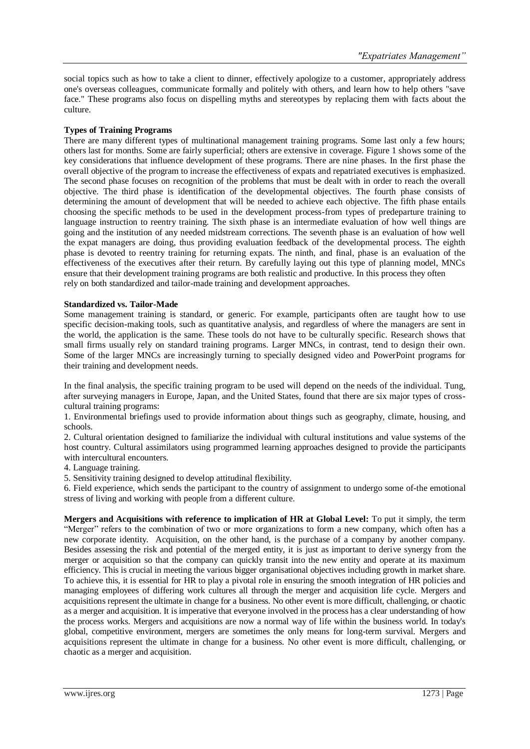social topics such as how to take a client to dinner, effectively apologize to a customer, appropriately address one's overseas colleagues, communicate formally and politely with others, and learn how to help others "save face." These programs also focus on dispelling myths and stereotypes by replacing them with facts about the culture.

# **Types of Training Programs**

There are many different types of multinational management training programs. Some last only a few hours; others last for months. Some are fairly superficial; others are extensive in coverage. Figure 1 shows some of the key considerations that influence development of these programs. There are nine phases. In the first phase the overall objective of the program to increase the effectiveness of expats and repatriated executives is emphasized. The second phase focuses on recognition of the problems that must be dealt with in order to reach the overall objective. The third phase is identification of the developmental objectives. The fourth phase consists of determining the amount of development that will be needed to achieve each objective. The fifth phase entails choosing the specific methods to be used in the development process-from types of predeparture training to language instruction to reentry training. The sixth phase is an intermediate evaluation of how well things are going and the institution of any needed midstream corrections. The seventh phase is an evaluation of how well the expat managers are doing, thus providing evaluation feedback of the developmental process. The eighth phase is devoted to reentry training for returning expats. The ninth, and final, phase is an evaluation of the effectiveness of the executives after their return. By carefully laying out this type of planning model, MNCs ensure that their development training programs are both realistic and productive. In this process they often rely on both standardized and tailor-made training and development approaches.

#### **Standardized vs. Tailor-Made**

Some management training is standard, or generic. For example, participants often are taught how to use specific decision-making tools, such as quantitative analysis, and regardless of where the managers are sent in the world, the application is the same. These tools do not have to be culturally specific. Research shows that small firms usually rely on standard training programs. Larger MNCs, in contrast, tend to design their own. Some of the larger MNCs are increasingly turning to specially designed video and PowerPoint programs for their training and development needs.

In the final analysis, the specific training program to be used will depend on the needs of the individual. Tung, after surveying managers in Europe, Japan, and the United States, found that there are six major types of crosscultural training programs:

1. Environmental briefings used to provide information about things such as geography, climate, housing, and schools.

2. Cultural orientation designed to familiarize the individual with cultural institutions and value systems of the host country. Cultural assimilators using programmed learning approaches designed to provide the participants with intercultural encounters.

4. Language training.

5. Sensitivity training designed to develop attitudinal flexibility.

6. Field experience, which sends the participant to the country of assignment to undergo some of-the emotional stress of living and working with people from a different culture.

**Mergers and Acquisitions with reference to implication of HR at Global Level:** To put it simply, the term "Merger" refers to the combination of two or more organizations to form a new company, which often has a new corporate identity. Acquisition, on the other hand, is the purchase of a company by another company. Besides assessing the risk and potential of the merged entity, it is just as important to derive synergy from the merger or acquisition so that the company can quickly transit into the new entity and operate at its maximum efficiency. This is crucial in meeting the various bigger organisational objectives including growth in market share. To achieve this, it is essential for HR to play a pivotal role in ensuring the smooth integration of HR policies and managing employees of differing work cultures all through the merger and acquisition life cycle. Mergers and acquisitions represent the ultimate in change for a business. No other event is more difficult, challenging, or chaotic as a merger and acquisition. It is imperative that everyone involved in the process has a clear understanding of how the process works. Mergers and acquisitions are now a normal way of life within the business world. In today's global, competitive environment, mergers are sometimes the only means for long-term survival. Mergers and acquisitions represent the ultimate in change for a business. No other event is more difficult, challenging, or chaotic as a merger and acquisition.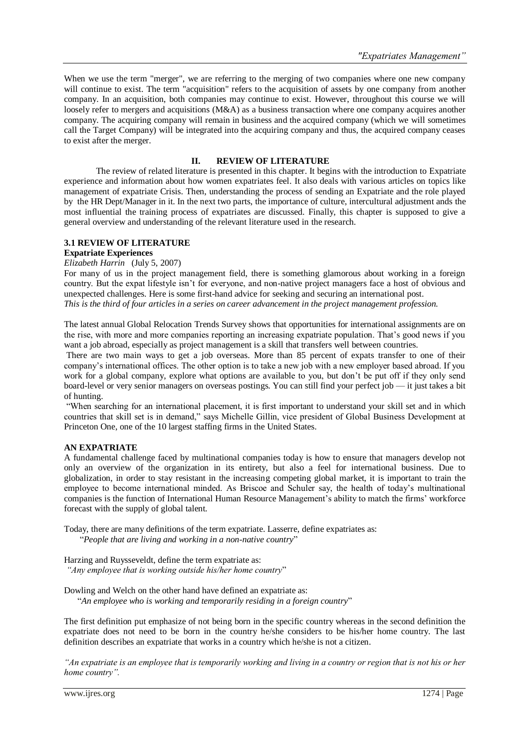When we use the term "merger", we are referring to the merging of two companies where one new company will continue to exist. The term "acquisition" refers to the acquisition of assets by one company from another company. In an acquisition, both companies may continue to exist. However, throughout this course we will loosely refer to mergers and acquisitions (M&A) as a business transaction where one company acquires another company. The acquiring company will remain in business and the acquired company (which we will sometimes call the Target Company) will be integrated into the acquiring company and thus, the acquired company ceases to exist after the merger.

# **II. REVIEW OF LITERATURE**

The review of related literature is presented in this chapter. It begins with the introduction to Expatriate experience and information about how women expatriates feel. It also deals with various articles on topics like management of expatriate Crisis. Then, understanding the process of sending an Expatriate and the role played by the HR Dept/Manager in it. In the next two parts, the importance of culture, intercultural adjustment ands the most influential the training process of expatriates are discussed. Finally, this chapter is supposed to give a general overview and understanding of the relevant literature used in the research.

#### **3.1 REVIEW OF LITERATURE**

**Expatriate Experiences**

*Elizabeth Harrin* (July 5, 2007)

For many of us in the project management field, there is something glamorous about working in a foreign country. But the expat lifestyle isn't for everyone, and non-native project managers face a host of obvious and unexpected challenges. Here is some first-hand advice for seeking and securing an international post. *This is the third of four articles in a series on career advancement in the project management profession.*

The latest annual Global Relocation Trends Survey shows that opportunities for international assignments are on the rise, with more and more companies reporting an increasing expatriate population. That's good news if you want a job abroad, especially as project management is a skill that transfers well between countries.

There are two main ways to get a job overseas. More than 85 percent of expats transfer to one of their company's international offices. The other option is to take a new job with a new employer based abroad. If you work for a global company, explore what options are available to you, but don't be put off if they only send board-level or very senior managers on overseas postings. You can still find your perfect job — it just takes a bit of hunting.

"When searching for an international placement, it is first important to understand your skill set and in which countries that skill set is in demand," says Michelle Gillin, vice president of Global Business Development at Princeton One, one of the 10 largest staffing firms in the United States.

#### **AN EXPATRIATE**

A fundamental challenge faced by multinational companies today is how to ensure that managers develop not only an overview of the organization in its entirety, but also a feel for international business. Due to globalization, in order to stay resistant in the increasing competing global market, it is important to train the employee to become international minded. As Briscoe and Schuler say, the health of today's multinational companies is the function of International Human Resource Management's ability to match the firms' workforce forecast with the supply of global talent.

Today, there are many definitions of the term expatriate. Lasserre, define expatriates as: "*People that are living and working in a non-native country*"

Harzing and Ruysseveldt, define the term expatriate as: *"Any employee that is working outside his/her home country*"

Dowling and Welch on the other hand have defined an expatriate as:

"*An employee who is working and temporarily residing in a foreign country*"

The first definition put emphasize of not being born in the specific country whereas in the second definition the expatriate does not need to be born in the country he/she considers to be his/her home country. The last definition describes an expatriate that works in a country which he/she is not a citizen.

*"An expatriate is an employee that is temporarily working and living in a country or region that is not his or her home country".*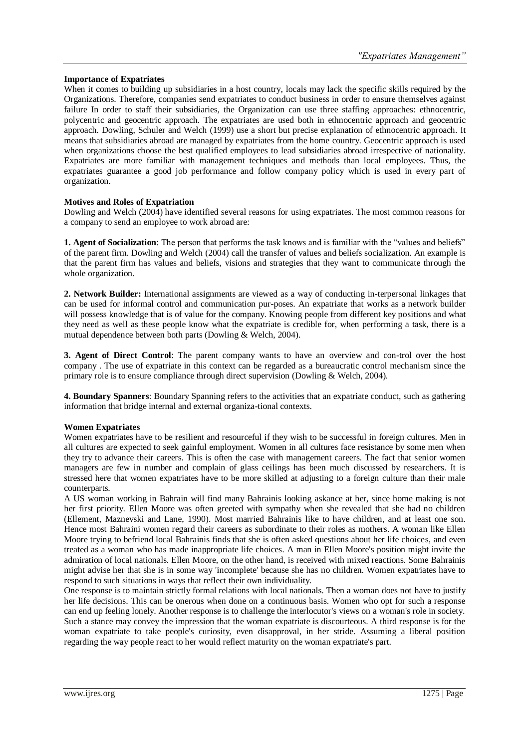#### **Importance of Expatriates**

When it comes to building up subsidiaries in a host country, locals may lack the specific skills required by the Organizations. Therefore, companies send expatriates to conduct business in order to ensure themselves against failure In order to staff their subsidiaries, the Organization can use three staffing approaches: ethnocentric, polycentric and geocentric approach. The expatriates are used both in ethnocentric approach and geocentric approach. Dowling, Schuler and Welch (1999) use a short but precise explanation of ethnocentric approach. It means that subsidiaries abroad are managed by expatriates from the home country. Geocentric approach is used when organizations choose the best qualified employees to lead subsidiaries abroad irrespective of nationality. Expatriates are more familiar with management techniques and methods than local employees. Thus, the expatriates guarantee a good job performance and follow company policy which is used in every part of organization.

#### **Motives and Roles of Expatriation**

Dowling and Welch (2004) have identified several reasons for using expatriates. The most common reasons for a company to send an employee to work abroad are:

**1. Agent of Socialization**: The person that performs the task knows and is familiar with the "values and beliefs" of the parent firm. Dowling and Welch (2004) call the transfer of values and beliefs socialization. An example is that the parent firm has values and beliefs, visions and strategies that they want to communicate through the whole organization.

**2. Network Builder:** International assignments are viewed as a way of conducting in-terpersonal linkages that can be used for informal control and communication pur-poses. An expatriate that works as a network builder will possess knowledge that is of value for the company. Knowing people from different key positions and what they need as well as these people know what the expatriate is credible for, when performing a task, there is a mutual dependence between both parts (Dowling & Welch, 2004).

**3. Agent of Direct Control**: The parent company wants to have an overview and con-trol over the host company . The use of expatriate in this context can be regarded as a bureaucratic control mechanism since the primary role is to ensure compliance through direct supervision (Dowling & Welch, 2004).

**4. Boundary Spanners**: Boundary Spanning refers to the activities that an expatriate conduct, such as gathering information that bridge internal and external organiza-tional contexts.

#### **Women Expatriates**

Women expatriates have to be resilient and resourceful if they wish to be successful in foreign cultures. Men in all cultures are expected to seek gainful employment. Women in all cultures face resistance by some men when they try to advance their careers. This is often the case with management careers. The fact that senior women managers are few in number and complain of glass ceilings has been much discussed by researchers. It is stressed here that women expatriates have to be more skilled at adjusting to a foreign culture than their male counterparts.

A US woman working in Bahrain will find many Bahrainis looking askance at her, since home making is not her first priority. Ellen Moore was often greeted with sympathy when she revealed that she had no children (Ellement, Maznevski and Lane, 1990). Most married Bahrainis like to have children, and at least one son. Hence most Bahraini women regard their careers as subordinate to their roles as mothers. A woman like Ellen Moore trying to befriend local Bahrainis finds that she is often asked questions about her life choices, and even treated as a woman who has made inappropriate life choices. A man in Ellen Moore's position might invite the admiration of local nationals. Ellen Moore, on the other hand, is received with mixed reactions. Some Bahrainis might advise her that she is in some way 'incomplete' because she has no children. Women expatriates have to respond to such situations in ways that reflect their own individuality.

One response is to maintain strictly formal relations with local nationals. Then a woman does not have to justify her life decisions. This can be onerous when done on a continuous basis. Women who opt for such a response can end up feeling lonely. Another response is to challenge the interlocutor's views on a woman's role in society. Such a stance may convey the impression that the woman expatriate is discourteous. A third response is for the woman expatriate to take people's curiosity, even disapproval, in her stride. Assuming a liberal position regarding the way people react to her would reflect maturity on the woman expatriate's part.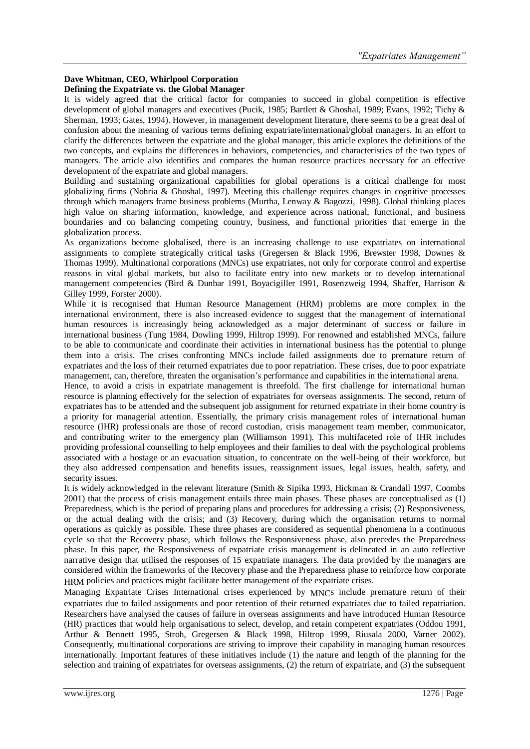# **Dave Whitman, CEO, Whirlpool Corporation**

# **Defining the Expatriate vs. the Global Manager**

It is widely agreed that the critical factor for companies to succeed in global competition is effective development of global managers and executives (Pucik, 1985; Bartlett & Ghoshal, 1989; Evans, 1992; Tichy & Sherman, 1993; Gates, 1994). However, in management development literature, there seems to be a great deal of confusion about the meaning of various terms defining expatriate/international/global managers. In an effort to clarify the differences between the expatriate and the global manager, this article explores the definitions of the two concepts, and explains the differences in behaviors, competencies, and characteristics of the two types of managers. The article also identifies and compares the human resource practices necessary for an effective development of the expatriate and global managers.

Building and sustaining organizational capabilities for global operations is a critical challenge for most globalizing firms (Nohria & Ghoshal, 1997). Meeting this challenge requires changes in cognitive processes through which managers frame business problems (Murtha, Lenway & Bagozzi, 1998). Global thinking places high value on sharing information, knowledge, and experience across national, functional, and business boundaries and on balancing competing country, business, and functional priorities that emerge in the globalization process.

As organizations become globalised, there is an increasing challenge to use expatriates on international assignments to complete strategically critical tasks (Gregersen & Black 1996, Brewster 1998, Downes & Thomas 1999). Multinational corporations (MNCs) use expatriates, not only for corporate control and expertise reasons in vital global markets, but also to facilitate entry into new markets or to develop international management competencies (Bird & Dunbar 1991, Boyacigiller 1991, Rosenzweig 1994, Shaffer, Harrison & Gilley 1999, Forster 2000).

While it is recognised that Human Resource Management (HRM) problems are more complex in the international environment, there is also increased evidence to suggest that the management of international human resources is increasingly being acknowledged as a major determinant of success or failure in international business (Tung 1984, Dowling 1999, Hiltrop 1999). For renowned and established MNCs, failure to be able to communicate and coordinate their activities in international business has the potential to plunge them into a crisis. The crises confronting MNCs include failed assignments due to premature return of expatriates and the loss of their returned expatriates due to poor repatriation. These crises, due to poor expatriate management, can, therefore, threaten the organisation's performance and capabilities in the international arena.

Hence, to avoid a crisis in expatriate management is threefold. The first challenge for international human resource is planning effectively for the selection of expatriates for overseas assignments. The second, return of expatriates has to be attended and the subsequent job assignment for returned expatriate in their home country is a priority for managerial attention. Essentially, the primary crisis management roles of international human resource (IHR) professionals are those of record custodian, crisis management team member, communicator, and contributing writer to the emergency plan (Williamson 1991). This multifaceted role of IHR includes providing professional counselling to help employees and their families to deal with the psychological problems associated with a hostage or an evacuation situation, to concentrate on the well-being of their workforce, but they also addressed compensation and benefits issues, reassignment issues, legal issues, health, safety, and security issues.

It is widely acknowledged in the relevant literature (Smith & Sipika 1993, Hickman & Crandall 1997, Coombs 2001) that the process of crisis management entails three main phases. These phases are conceptualised as (1) Preparedness, which is the period of preparing plans and procedures for addressing a crisis; (2) Responsiveness, or the actual dealing with the crisis; and (3) Recovery, during which the organisation returns to normal operations as quickly as possible. These three phases are considered as sequential phenomena in a continuous cycle so that the Recovery phase, which follows the Responsiveness phase, also precedes the Preparedness phase. In this paper, the Responsiveness of expatriate crisis management is delineated in an auto reflective narrative design that utilised the responses of 15 expatriate managers. The data provided by the managers are considered within the frameworks of the Recovery phase and the Preparedness phase to reinforce how corporate HRM policies and practices might facilitate better management of the expatriate crises.

Managing Expatriate Crises International crises experienced by MNCs include premature return of their expatriates due to failed assignments and poor retention of their returned expatriates due to failed repatriation. Researchers have analysed the causes of failure in overseas assignments and have introduced Human Resource (HR) practices that would help organisations to select, develop, and retain competent expatriates (Oddou 1991, Arthur & Bennett 1995, Stroh, Gregersen & Black 1998, Hiltrop 1999, Riusala 2000, Varner 2002). Consequently, multinational corporations are striving to improve their capability in managing human resources internationally. Important features of these initiatives include (1) the nature and length of the planning for the selection and training of expatriates for overseas assignments, (2) the return of expatriate, and (3) the subsequent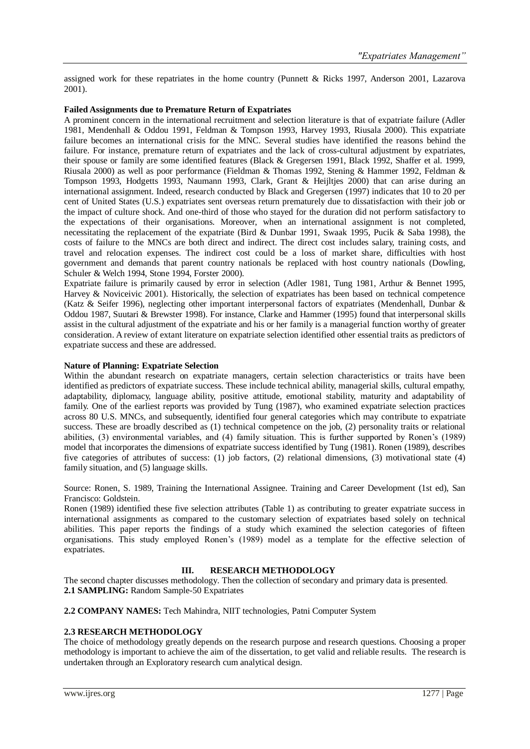assigned work for these repatriates in the home country (Punnett & Ricks 1997, Anderson 2001, Lazarova 2001).

#### **Failed Assignments due to Premature Return of Expatriates**

A prominent concern in the international recruitment and selection literature is that of expatriate failure (Adler 1981, Mendenhall & Oddou 1991, Feldman & Tompson 1993, Harvey 1993, Riusala 2000). This expatriate failure becomes an international crisis for the MNC. Several studies have identified the reasons behind the failure. For instance, premature return of expatriates and the lack of cross-cultural adjustment by expatriates, their spouse or family are some identified features (Black & Gregersen 1991, Black 1992, Shaffer et al. 1999, Riusala 2000) as well as poor performance (Fieldman & Thomas 1992, Stening & Hammer 1992, Feldman & Tompson 1993, Hodgetts 1993, Naumann 1993, Clark, Grant & Heijltjes 2000) that can arise during an international assignment. Indeed, research conducted by Black and Gregersen (1997) indicates that 10 to 20 per cent of United States (U.S.) expatriates sent overseas return prematurely due to dissatisfaction with their job or the impact of culture shock. And one-third of those who stayed for the duration did not perform satisfactory to the expectations of their organisations. Moreover, when an international assignment is not completed, necessitating the replacement of the expatriate (Bird & Dunbar 1991, Swaak 1995, Pucik & Saba 1998), the costs of failure to the MNCs are both direct and indirect. The direct cost includes salary, training costs, and travel and relocation expenses. The indirect cost could be a loss of market share, difficulties with host government and demands that parent country nationals be replaced with host country nationals (Dowling, Schuler & Welch 1994, Stone 1994, Forster 2000).

Expatriate failure is primarily caused by error in selection (Adler 1981, Tung 1981, Arthur & Bennet 1995, Harvey & Noviceivic 2001). Historically, the selection of expatriates has been based on technical competence (Katz & Seifer 1996), neglecting other important interpersonal factors of expatriates (Mendenhall, Dunbar & Oddou 1987, Suutari & Brewster 1998). For instance, Clarke and Hammer (1995) found that interpersonal skills assist in the cultural adjustment of the expatriate and his or her family is a managerial function worthy of greater consideration. A review of extant literature on expatriate selection identified other essential traits as predictors of expatriate success and these are addressed.

#### **Nature of Planning: Expatriate Selection**

Within the abundant research on expatriate managers, certain selection characteristics or traits have been identified as predictors of expatriate success. These include technical ability, managerial skills, cultural empathy, adaptability, diplomacy, language ability, positive attitude, emotional stability, maturity and adaptability of family. One of the earliest reports was provided by Tung (1987), who examined expatriate selection practices across 80 U.S. MNCs, and subsequently, identified four general categories which may contribute to expatriate success. These are broadly described as (1) technical competence on the job, (2) personality traits or relational abilities, (3) environmental variables, and (4) family situation. This is further supported by Ronen's (1989) model that incorporates the dimensions of expatriate success identified by Tung (1981). Ronen (1989), describes five categories of attributes of success: (1) job factors, (2) relational dimensions, (3) motivational state (4) family situation, and (5) language skills.

Source: Ronen, S. 1989, Training the International Assignee. Training and Career Development (1st ed), San Francisco: Goldstein.

Ronen (1989) identified these five selection attributes (Table 1) as contributing to greater expatriate success in international assignments as compared to the customary selection of expatriates based solely on technical abilities. This paper reports the findings of a study which examined the selection categories of fifteen organisations. This study employed Ronen's (1989) model as a template for the effective selection of expatriates.

# **III. RESEARCH METHODOLOGY**

The second chapter discusses methodology. Then the collection of secondary and primary data is presented. **2.1 SAMPLING:** Random Sample-50 Expatriates

# **2.2 COMPANY NAMES:** Tech Mahindra, NIIT technologies, Patni Computer System

# **2.3 RESEARCH METHODOLOGY**

The choice of methodology greatly depends on the research purpose and research questions. Choosing a proper methodology is important to achieve the aim of the dissertation, to get valid and reliable results. The research is undertaken through an Exploratory research cum analytical design.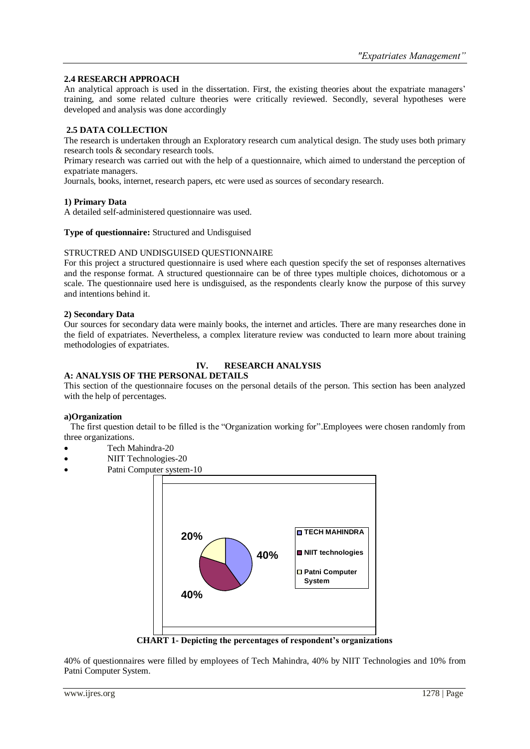# **2.4 RESEARCH APPROACH**

An analytical approach is used in the dissertation. First, the existing theories about the expatriate managers' training, and some related culture theories were critically reviewed. Secondly, several hypotheses were developed and analysis was done accordingly

# **2.5 DATA COLLECTION**

The research is undertaken through an Exploratory research cum analytical design. The study uses both primary research tools & secondary research tools.

Primary research was carried out with the help of a questionnaire, which aimed to understand the perception of expatriate managers.

Journals, books, internet, research papers, etc were used as sources of secondary research.

#### **1) Primary Data**

A detailed self-administered questionnaire was used.

#### **Type of questionnaire:** Structured and Undisguised

# STRUCTRED AND UNDISGUISED QUESTIONNAIRE

For this project a structured questionnaire is used where each question specify the set of responses alternatives and the response format. A structured questionnaire can be of three types multiple choices, dichotomous or a scale. The questionnaire used here is undisguised, as the respondents clearly know the purpose of this survey and intentions behind it.

#### **2) Secondary Data**

Our sources for secondary data were mainly books, the internet and articles. There are many researches done in the field of expatriates. Nevertheless, a complex literature review was conducted to learn more about training methodologies of expatriates.

# **IV. RESEARCH ANALYSIS**

# **A: ANALYSIS OF THE PERSONAL DETAILS**

This section of the questionnaire focuses on the personal details of the person. This section has been analyzed with the help of percentages.

#### **a)Organization**

 The first question detail to be filled is the "Organization working for".Employees were chosen randomly from three organizations.

- Tech Mahindra-20
- NIIT Technologies-20
- Patni Computer system-10



**CHART 1- Depicting the percentages of respondent's organizations**

40% of questionnaires were filled by employees of Tech Mahindra, 40% by NIIT Technologies and 10% from Patni Computer System.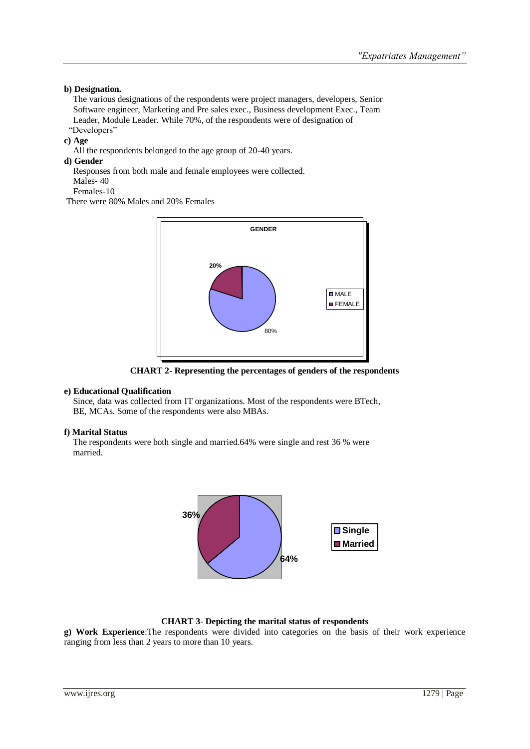# **b) Designation.**

 The various designations of the respondents were project managers, developers, Senior Software engineer, Marketing and Pre sales exec., Business development Exec., Team Leader, Module Leader. While 70%, of the respondents were of designation of

# "Developers"

# **c) Age**

All the respondents belonged to the age group of 20-40 years.

### **d) Gender**

Responses from both male and female employees were collected.

Males-40

Females-10

There were 80% Males and 20% Females



**CHART 2- Representing the percentages of genders of the respondents**

# **e) Educational Qualification**

 Since, data was collected from IT organizations. Most of the respondents were BTech, BE, MCAs. Some of the respondents were also MBAs.

# **f) Marital Status**

 The respondents were both single and married.64% were single and rest 36 % were married.



# **CHART 3- Depicting the marital status of respondents**

**g) Work Experience**:The respondents were divided into categories on the basis of their work experience ranging from less than 2 years to more than 10 years.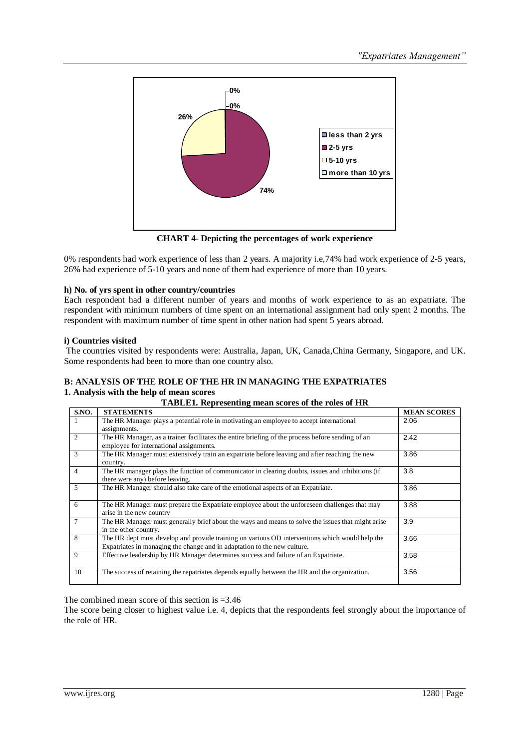

**CHART 4- Depicting the percentages of work experience**

0% respondents had work experience of less than 2 years. A majority i.e,74% had work experience of 2-5 years, 26% had experience of 5-10 years and none of them had experience of more than 10 years.

# **h) No. of yrs spent in other country/countries**

Each respondent had a different number of years and months of work experience to as an expatriate. The respondent with minimum numbers of time spent on an international assignment had only spent 2 months. The respondent with maximum number of time spent in other nation had spent 5 years abroad.

#### **i) Countries visited**

The countries visited by respondents were: Australia, Japan, UK, Canada,China Germany, Singapore, and UK. Some respondents had been to more than one country also.

#### **B: ANALYSIS OF THE ROLE OF THE HR IN MANAGING THE EXPATRIATES 1. Analysis with the help of mean scores TABLE1. Representing mean scores of the roles of HR**

| S.NO.          | <b>STATEMENTS</b>                                                                                 | <b>MEAN SCORES</b> |
|----------------|---------------------------------------------------------------------------------------------------|--------------------|
|                | The HR Manager plays a potential role in motivating an employee to accept international           | 2.06               |
|                | assignments.                                                                                      |                    |
| $\mathfrak{D}$ | The HR Manager, as a trainer facilitates the entire briefing of the process before sending of an  | 2.42               |
|                | employee for international assignments.                                                           |                    |
| 3              | The HR Manager must extensively train an expatriate before leaving and after reaching the new     | 3.86               |
|                | country.                                                                                          |                    |
| $\overline{4}$ | The HR manager plays the function of communicator in clearing doubts, issues and inhibitions (if  | 3.8                |
|                | there were any before leaving.                                                                    |                    |
| 5.             | The HR Manager should also take care of the emotional aspects of an Expatriate.                   | 3.86               |
|                |                                                                                                   |                    |
| 6              | The HR Manager must prepare the Expatriate employee about the unforeseen challenges that may      | 3.88               |
|                | arise in the new country                                                                          |                    |
| 7              | The HR Manager must generally brief about the ways and means to solve the issues that might arise | 3.9                |
|                | in the other country.                                                                             |                    |
| 8              | The HR dept must develop and provide training on various OD interventions which would help the    | 3.66               |
|                | Expatriates in managing the change and in adaptation to the new culture.                          |                    |
| 9              | Effective leadership by HR Manager determines success and failure of an Expatriate.               | 3.58               |
|                |                                                                                                   |                    |
| 10             | The success of retaining the repatriates depends equally between the HR and the organization.     | 3.56               |
|                |                                                                                                   |                    |

The combined mean score of this section is =3.46

The score being closer to highest value i.e. 4, depicts that the respondents feel strongly about the importance of the role of HR.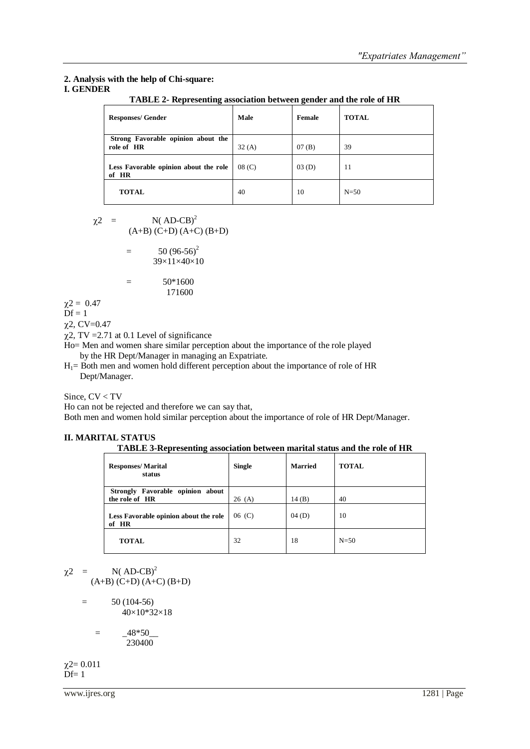# **2. Analysis with the help of Chi-square:**

# **I. GENDER**

| TADLE 2- Representing association between genuer and the role of FIR |                   |        |              |  |  |  |
|----------------------------------------------------------------------|-------------------|--------|--------------|--|--|--|
| <b>Responses/ Gender</b>                                             | Male              | Female | <b>TOTAL</b> |  |  |  |
| Strong Favorable opinion about the<br>role of HR                     | 32(A)             | 07(B)  | 39           |  |  |  |
| Less Favorable opinion about the role<br>of HR                       | 08 <sub>(C)</sub> | 03(D)  | 11           |  |  |  |
| <b>TOTAL</b>                                                         | 40                | 10     | $N=50$       |  |  |  |

**TABLE 2- Representing association between gender and the role of HR**

$$
\chi
$$
2 = N(*AD-CB*)<sup>2</sup>  
(A+B)(C+D)(A+C)(B+D)

$$
= 50 (96-56)^2
$$
  
39×11×40×10

$$
= 50*1600
$$
  
171600

 $\chi$ 2 = 0.47

 $\overline{D}f = 1$ 

 $\chi$ 2, CV=0.47

 $\chi$ 2, TV = 2.71 at 0.1 Level of significance

Ho= Men and women share similar perception about the importance of the role played by the HR Dept/Manager in managing an Expatriate.

 $H_1$  = Both men and women hold different perception about the importance of role of HR Dept/Manager.

Since, CV < TV

Ho can not be rejected and therefore we can say that,

Both men and women hold similar perception about the importance of role of HR Dept/Manager.

### **II. MARITAL STATUS**

| <b>Responses/Marital</b><br>status                 | <b>Single</b> | <b>Married</b> | <b>TOTAL</b> |
|----------------------------------------------------|---------------|----------------|--------------|
| Strongly Favorable opinion about<br>the role of HR | 26(A)         | 14(B)          | 40           |
| Less Favorable opinion about the role<br>of HR     | 06(C)         | 04(D)          | 10           |
| <b>TOTAL</b>                                       | 32            | 18             | $N=50$       |

 $\chi$ <sup>2</sup> = N( AD-CB)<sup>2</sup>  $(A+B)$   $(C+D)$   $(A+C)$   $(B+D)$ 

> $=$  50 (104-56) 40×10\*32×18

> > $=$   $-48*50$ 230400

 $\chi$ 2= 0.011  $\overline{\mathbf{D}}$ f= 1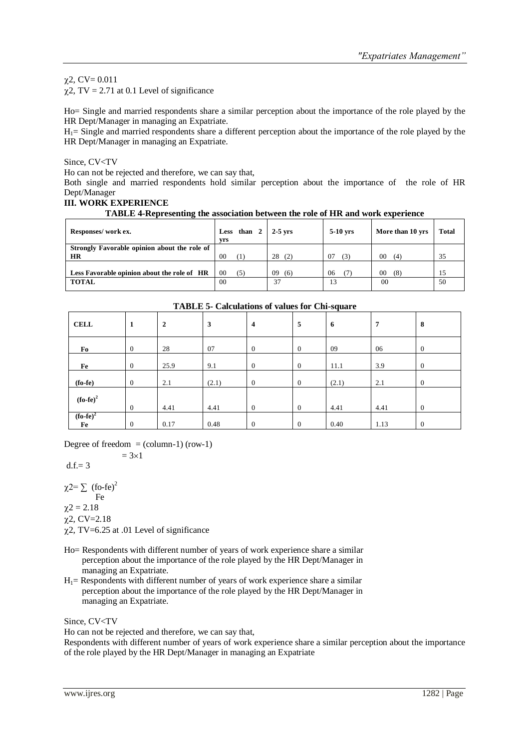# $\chi$ 2, CV= 0.011

 $\chi$ 2, TV = 2.71 at 0.1 Level of significance

Ho= Single and married respondents share a similar perception about the importance of the role played by the HR Dept/Manager in managing an Expatriate.

 $H_1$ = Single and married respondents share a different perception about the importance of the role played by the HR Dept/Manager in managing an Expatriate.

Since, CV<TV

Ho can not be rejected and therefore, we can say that,

Both single and married respondents hold similar perception about the importance of the role of HR Dept/Manager

#### **III. WORK EXPERIENCE**

| Responses/work ex.                                        | Less than $2$  <br><b>vrs</b> | $2-5$ vrs | $5-10$ yrs | More than 10 yrs | <b>Total</b> |
|-----------------------------------------------------------|-------------------------------|-----------|------------|------------------|--------------|
| Strongly Favorable opinion about the role of<br><b>HR</b> | 0 <sup>0</sup><br>Œ           | 28<br>(2) | 07<br>(3)  | 00<br>(4)        | 35           |
| Less Favorable opinion about the role of HR               | 00<br>(5)                     | 09<br>(6) | 06         | 00<br>(8)        | 15           |
| <b>TOTAL</b>                                              | 00                            | 37        | 13         | 0 <sub>0</sub>   | 50           |

| TADLE 3- Calculations of values for Cin-square |                |                |       |                         |                |       |      |                |
|------------------------------------------------|----------------|----------------|-------|-------------------------|----------------|-------|------|----------------|
| <b>CELL</b>                                    | -1             | $\overline{2}$ | 3     | $\overline{\mathbf{4}}$ | 5              | -6    | 7    | 8              |
| Fo                                             | $\overline{0}$ | 28             | 07    | $\theta$                | $\overline{0}$ | 09    | 06   | $\overline{0}$ |
| Fe                                             | $\overline{0}$ | 25.9           | 9.1   | $\overline{0}$          | $\overline{0}$ | 11.1  | 3.9  | $\overline{0}$ |
| $(fo-fe)$                                      | $\overline{0}$ | 2.1            | (2.1) | $\theta$                | $\overline{0}$ | (2.1) | 2.1  | $\Omega$       |
| $(fo-fe)2$                                     | $\overline{0}$ | 4.41           | 4.41  | $\theta$                | $\overline{0}$ | 4.41  | 4.41 | $\overline{0}$ |
| $(fo-fe)2$<br>Fe                               | $\overline{0}$ | 0.17           | 0.48  | $\theta$                | $\overline{0}$ | 0.40  | 1.13 | $\Omega$       |

#### **TABLE 5- Calculations of values for Chi-square**

Degree of freedom  $=$  (column-1) (row-1)  $= 3 \times 1$ 

$$
d.f = 3
$$

 $\chi$ 2=  $\sum$  (fo-fe)<sup>2</sup> Fe  $\chi$ 2 = 2.18  $\chi$ 2, CV=2.18  $\chi$ 2, TV=6.25 at .01 Level of significance

- Ho= Respondents with different number of years of work experience share a similar perception about the importance of the role played by the HR Dept/Manager in managing an Expatriate.
- $H_1$ = Respondents with different number of years of work experience share a similar perception about the importance of the role played by the HR Dept/Manager in managing an Expatriate.

Since, CV<TV

Ho can not be rejected and therefore, we can say that,

Respondents with different number of years of work experience share a similar perception about the importance of the role played by the HR Dept/Manager in managing an Expatriate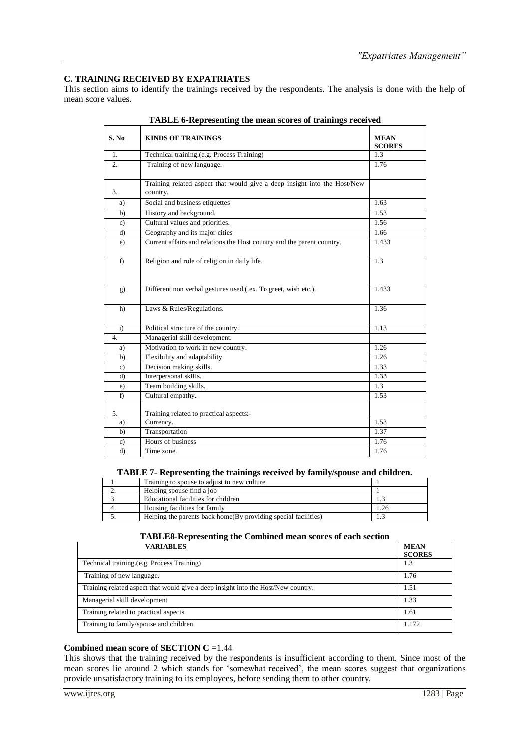# **C. TRAINING RECEIVED BY EXPATRIATES**

This section aims to identify the trainings received by the respondents. The analysis is done with the help of mean score values.

| S. No            | <b>KINDS OF TRAININGS</b>                                                            | <b>MEAN</b><br><b>SCORES</b> |
|------------------|--------------------------------------------------------------------------------------|------------------------------|
| $\mathbf{1}$ .   | Technical training.(e.g. Process Training)                                           | 1.3                          |
| $\overline{2}$ . | Training of new language.                                                            | 1.76                         |
| 3.               | Training related aspect that would give a deep insight into the Host/New<br>country. |                              |
| a)               | Social and business etiquettes                                                       | 1.63                         |
| b)               | History and background.                                                              | 1.53                         |
| $\mathbf{c}$     | Cultural values and priorities.                                                      | 1.56                         |
| d)               | Geography and its major cities                                                       | 1.66                         |
| e)               | Current affairs and relations the Host country and the parent country.               | 1.433                        |
| f)               | Religion and role of religion in daily life.                                         | 1.3                          |
| g)               | Different non verbal gestures used.(ex. To greet, wish etc.).                        | 1.433                        |
| h)               | Laws & Rules/Regulations.                                                            | 1.36                         |
| $\mathbf{i}$     | Political structure of the country.                                                  | 1.13                         |
| $\overline{4}$ . | Managerial skill development.                                                        |                              |
| a)               | Motivation to work in new country.                                                   | 1.26                         |
| b)               | Flexibility and adaptability.                                                        | 1.26                         |
| $\mathbf{c}$ )   | Decision making skills.                                                              | 1.33                         |
| d)               | Interpersonal skills.                                                                | 1.33                         |
| e)               | Team building skills.                                                                | 1.3                          |
| f)               | Cultural empathy.                                                                    | 1.53                         |
| 5.               | Training related to practical aspects:-                                              |                              |
| a)               | Currency.                                                                            | 1.53                         |
| b)               | Transportation                                                                       | 1.37                         |
| $\mathbf{c}$ )   | Hours of business                                                                    | 1.76                         |
| d)               | Time zone.                                                                           | 1.76                         |

**TABLE 6-Representing the mean scores of trainings received**

#### **TABLE 7- Representing the trainings received by family/spouse and children.**

|          | Training to spouse to adjust to new culture                    |  |
|----------|----------------------------------------------------------------|--|
| <u>.</u> | Helping spouse find a job                                      |  |
|          | Educational facilities for children                            |  |
| 4.       | Housing facilities for family                                  |  |
|          | Helping the parents back home(By providing special facilities) |  |

**TABLE8-Representing the Combined mean scores of each section**

| <b>VARIABLES</b>                                                                  | <b>MEAN</b><br><b>SCORES</b> |
|-----------------------------------------------------------------------------------|------------------------------|
| Technical training (e.g. Process Training)                                        | 1.3                          |
| Training of new language.                                                         | 1.76                         |
| Training related aspect that would give a deep insight into the Host/New country. | 1.51                         |
| Managerial skill development                                                      | 1.33                         |
| Training related to practical aspects                                             | 1.61                         |
| Training to family/spouse and children                                            | 1.172                        |

#### **Combined mean score of SECTION C =**1.44

This shows that the training received by the respondents is insufficient according to them. Since most of the mean scores lie around 2 which stands for 'somewhat received', the mean scores suggest that organizations provide unsatisfactory training to its employees, before sending them to other country.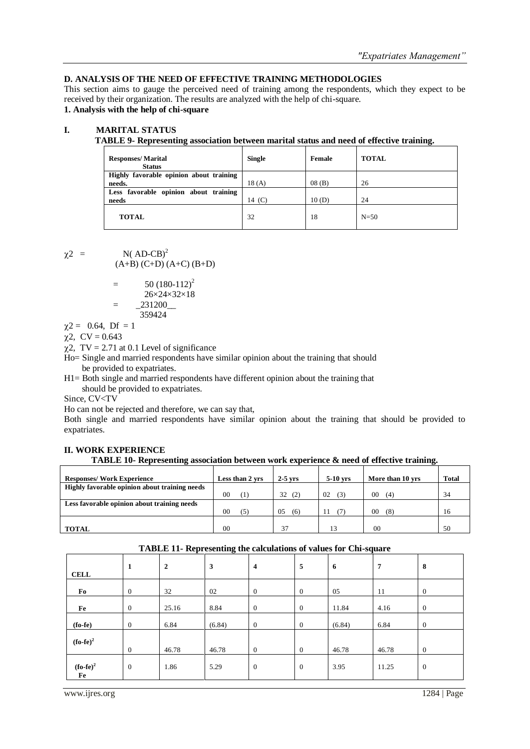# **D. ANALYSIS OF THE NEED OF EFFECTIVE TRAINING METHODOLOGIES**

This section aims to gauge the perceived need of training among the respondents, which they expect to be received by their organization. The results are analyzed with the help of chi-square.

# **1. Analysis with the help of chi-square**

### **I. MARITAL STATUS**

# **TABLE 9- Representing association between marital status and need of effective training.**

| <b>Responses/Marital</b><br><b>Status</b> | <b>Single</b> | Female | <b>TOTAL</b> |
|-------------------------------------------|---------------|--------|--------------|
| Highly favorable opinion about training   |               |        |              |
| needs.                                    | 18(A)         | 08(B)  | 26           |
| Less favorable opinion about training     |               |        |              |
| needs                                     | 14 (C)        | 10(D)  | 24           |
| <b>TOTAL</b>                              | 32            | 18     | $N=50$       |

 $\chi$ 2 = N( AD-CB)<sup>2</sup>  $(A+B)$   $(C+D)$   $(A+C)$   $(B+D)$ 

$$
= 50 (180-112)^2
$$
  
26.24.22.18

$$
26\times24\times32\times18
$$

$$
= \qquad \qquad -231200
$$

$$
359424
$$

 $\chi$ 2 = 0.64, Df = 1

 $\chi$ 2, CV = 0.643

 $\chi$ 2, TV = 2.71 at 0.1 Level of significance

Ho= Single and married respondents have similar opinion about the training that should be provided to expatriates.

H1= Both single and married respondents have different opinion about the training that should be provided to expatriates.

Since, CV<TV

Ho can not be rejected and therefore, we can say that,

Both single and married respondents have similar opinion about the training that should be provided to expatriates.

# **II. WORK EXPERIENCE**

```
TABLE 10- Representing association between work experience & need of effective training.
```

| <b>Responses/Work Experience</b>              | Less than 2 yrs | $2-5$ vrs | $5-10$ vrs | More than 10 yrs | <b>Total</b> |
|-----------------------------------------------|-----------------|-----------|------------|------------------|--------------|
| Highly favorable opinion about training needs |                 |           |            |                  |              |
|                                               | 00<br>(1)       | 32<br>(2) | 02<br>(3)  | 00<br>(4)        | 34           |
| Less favorable opinion about training needs   |                 |           |            |                  |              |
|                                               | 00<br>(5)       | 05<br>(6) |            | 00<br>(8)        | 16           |
|                                               |                 |           |            |                  |              |
| <b>TOTAL</b>                                  | 00              | 37        | 13         | 0 <sup>0</sup>   | 50           |

| <b>TABLE 11- Representing the calculations of values for Chi-square</b> |                |                |        |              |              |        |       |              |
|-------------------------------------------------------------------------|----------------|----------------|--------|--------------|--------------|--------|-------|--------------|
| <b>CELL</b>                                                             | 1              | $\overline{2}$ | 3      | 4            | 5            | 6      | 7     | 8            |
| Fo                                                                      | $\overline{0}$ | 32             | 02     | $\theta$     | $\mathbf{0}$ | 05     | 11    | $\mathbf{0}$ |
| Fe                                                                      | $\overline{0}$ | 25.16          | 8.84   | $\theta$     | $\mathbf{0}$ | 11.84  | 4.16  | $\mathbf{0}$ |
| $(fo-fe)$                                                               | $\overline{0}$ | 6.84           | (6.84) | $\theta$     | $\mathbf{0}$ | (6.84) | 6.84  | $\mathbf{0}$ |
| $(fo-fe)2$                                                              | $\overline{0}$ | 46.78          | 46.78  | $\theta$     | $\mathbf{0}$ | 46.78  | 46.78 | $\mathbf{0}$ |
| $(fo-fe)2$<br>Fe                                                        | $\mathbf{0}$   | 1.86           | 5.29   | $\mathbf{0}$ | $\mathbf{0}$ | 3.95   | 11.25 | $\mathbf{0}$ |

# **TABLE 11- Representing the calculations of values for Chi-square**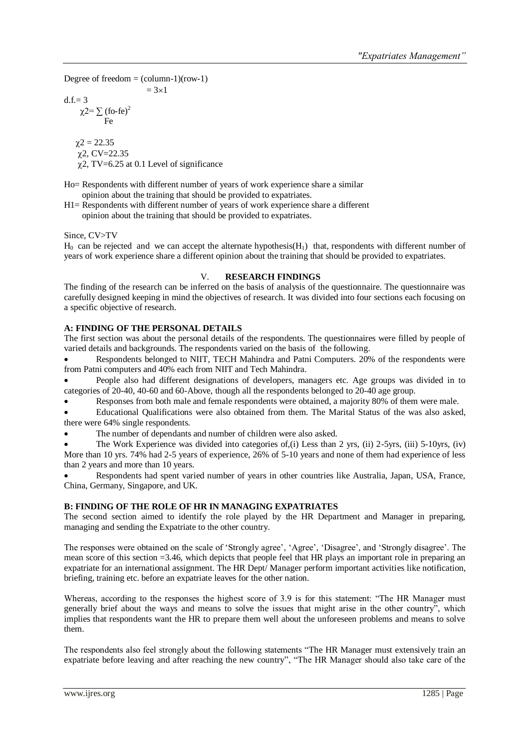Degree of freedom  $= (column-1)(row-1)$  $= 3 \times 1$  $d.f = 3$  $\chi$ 2= $\sum$  (fo-fe)<sup>2</sup> Fe  $y2 = 22.35$  $\chi$ 2, CV=22.35  $\gamma$ 2, TV=6.25 at 0.1 Level of significance

Ho= Respondents with different number of years of work experience share a similar opinion about the training that should be provided to expatriates.

H1= Respondents with different number of years of work experience share a different opinion about the training that should be provided to expatriates.

Since, CV>TV

 $H_0$  can be rejected and we can accept the alternate hypothesis( $H_1$ ) that, respondents with different number of years of work experience share a different opinion about the training that should be provided to expatriates.

### V. **RESEARCH FINDINGS**

The finding of the research can be inferred on the basis of analysis of the questionnaire. The questionnaire was carefully designed keeping in mind the objectives of research. It was divided into four sections each focusing on a specific objective of research.

#### **A: FINDING OF THE PERSONAL DETAILS**

The first section was about the personal details of the respondents. The questionnaires were filled by people of varied details and backgrounds. The respondents varied on the basis of the following.

 Respondents belonged to NIIT, TECH Mahindra and Patni Computers. 20% of the respondents were from Patni computers and 40% each from NIIT and Tech Mahindra.

 People also had different designations of developers, managers etc. Age groups was divided in to categories of 20-40, 40-60 and 60-Above, though all the respondents belonged to 20-40 age group.

Responses from both male and female respondents were obtained, a majority 80% of them were male.

 Educational Qualifications were also obtained from them. The Marital Status of the was also asked, there were 64% single respondents.

The number of dependants and number of children were also asked.

 The Work Experience was divided into categories of,(i) Less than 2 yrs, (ii) 2-5yrs, (iii) 5-10yrs, (iv) More than 10 yrs. 74% had 2-5 years of experience, 26% of 5-10 years and none of them had experience of less than 2 years and more than 10 years.

 Respondents had spent varied number of years in other countries like Australia, Japan, USA, France, China, Germany, Singapore, and UK.

# **B: FINDING OF THE ROLE OF HR IN MANAGING EXPATRIATES**

The second section aimed to identify the role played by the HR Department and Manager in preparing, managing and sending the Expatriate to the other country.

The responses were obtained on the scale of 'Strongly agree', 'Agree', 'Disagree', and 'Strongly disagree'. The mean score of this section =3.46, which depicts that people feel that HR plays an important role in preparing an expatriate for an international assignment. The HR Dept/ Manager perform important activities like notification, briefing, training etc. before an expatriate leaves for the other nation.

Whereas, according to the responses the highest score of 3.9 is for this statement: "The HR Manager must generally brief about the ways and means to solve the issues that might arise in the other country", which implies that respondents want the HR to prepare them well about the unforeseen problems and means to solve them.

The respondents also feel strongly about the following statements "The HR Manager must extensively train an expatriate before leaving and after reaching the new country", "The HR Manager should also take care of the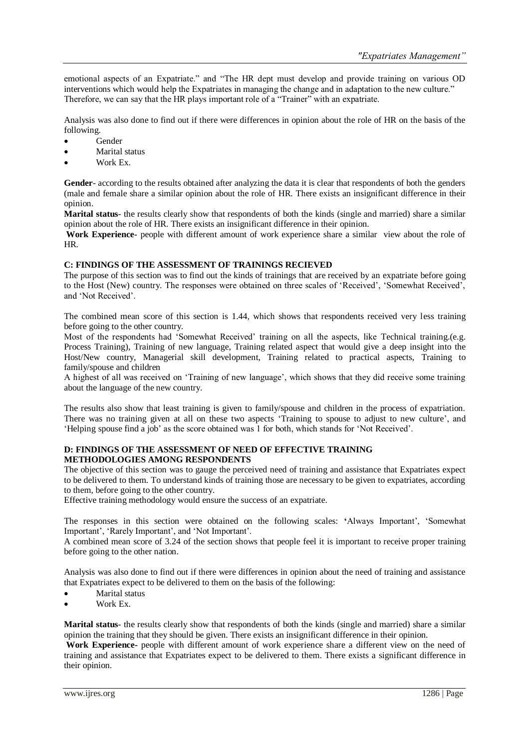emotional aspects of an Expatriate." and "The HR dept must develop and provide training on various OD interventions which would help the Expatriates in managing the change and in adaptation to the new culture." Therefore, we can say that the HR plays important role of a "Trainer" with an expatriate.

Analysis was also done to find out if there were differences in opinion about the role of HR on the basis of the following.

- Gender
- Marital status
- Work Ex.

**Gender**- according to the results obtained after analyzing the data it is clear that respondents of both the genders (male and female share a similar opinion about the role of HR. There exists an insignificant difference in their opinion.

**Marital status**- the results clearly show that respondents of both the kinds (single and married) share a similar opinion about the role of HR. There exists an insignificant difference in their opinion.

**Work Experience-** people with different amount of work experience share a similar view about the role of HR.

#### **C: FINDINGS OF THE ASSESSMENT OF TRAININGS RECIEVED**

The purpose of this section was to find out the kinds of trainings that are received by an expatriate before going to the Host (New) country. The responses were obtained on three scales of 'Received', 'Somewhat Received', and 'Not Received'.

The combined mean score of this section is 1.44, which shows that respondents received very less training before going to the other country.

Most of the respondents had 'Somewhat Received' training on all the aspects, like Technical training.(e.g. Process Training), Training of new language, Training related aspect that would give a deep insight into the Host/New country, Managerial skill development, Training related to practical aspects, Training to family/spouse and children

A highest of all was received on 'Training of new language', which shows that they did receive some training about the language of the new country.

The results also show that least training is given to family/spouse and children in the process of expatriation. There was no training given at all on these two aspects 'Training to spouse to adjust to new culture', and 'Helping spouse find a job' as the score obtained was 1 for both, which stands for 'Not Received'.

#### **D: FINDINGS OF THE ASSESSMENT OF NEED OF EFFECTIVE TRAINING METHODOLOGIES AMONG RESPONDENTS**

The objective of this section was to gauge the perceived need of training and assistance that Expatriates expect to be delivered to them. To understand kinds of training those are necessary to be given to expatriates, according to them, before going to the other country.

Effective training methodology would ensure the success of an expatriate.

The responses in this section were obtained on the following scales: **'**Always Important', 'Somewhat Important', 'Rarely Important', and 'Not Important'.

A combined mean score of 3.24 of the section shows that people feel it is important to receive proper training before going to the other nation.

Analysis was also done to find out if there were differences in opinion about the need of training and assistance that Expatriates expect to be delivered to them on the basis of the following:

- Marital status
- Work Ex.

**Marital status**- the results clearly show that respondents of both the kinds (single and married) share a similar opinion the training that they should be given. There exists an insignificant difference in their opinion.

**Work Experience-** people with different amount of work experience share a different view on the need of training and assistance that Expatriates expect to be delivered to them. There exists a significant difference in their opinion.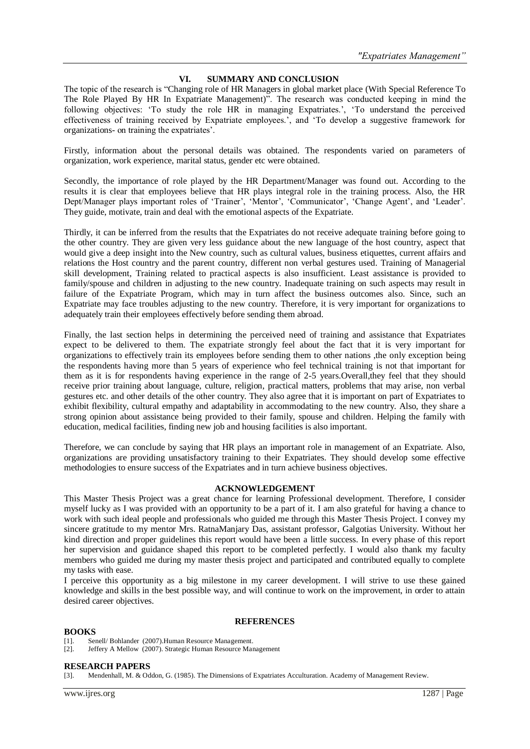# **VI. SUMMARY AND CONCLUSION**

The topic of the research is "Changing role of HR Managers in global market place (With Special Reference To The Role Played By HR In Expatriate Management)". The research was conducted keeping in mind the following objectives: 'To study the role HR in managing Expatriates.', 'To understand the perceived effectiveness of training received by Expatriate employees.', and 'To develop a suggestive framework for organizations- on training the expatriates'.

Firstly, information about the personal details was obtained. The respondents varied on parameters of organization, work experience, marital status, gender etc were obtained.

Secondly, the importance of role played by the HR Department/Manager was found out. According to the results it is clear that employees believe that HR plays integral role in the training process. Also, the HR Dept/Manager plays important roles of 'Trainer', 'Mentor', 'Communicator', 'Change Agent', and 'Leader'. They guide, motivate, train and deal with the emotional aspects of the Expatriate.

Thirdly, it can be inferred from the results that the Expatriates do not receive adequate training before going to the other country. They are given very less guidance about the new language of the host country, aspect that would give a deep insight into the New country, such as cultural values, business etiquettes, current affairs and relations the Host country and the parent country, different non verbal gestures used. Training of Managerial skill development, Training related to practical aspects is also insufficient. Least assistance is provided to family/spouse and children in adjusting to the new country. Inadequate training on such aspects may result in failure of the Expatriate Program, which may in turn affect the business outcomes also. Since, such an Expatriate may face troubles adjusting to the new country. Therefore, it is very important for organizations to adequately train their employees effectively before sending them abroad.

Finally, the last section helps in determining the perceived need of training and assistance that Expatriates expect to be delivered to them. The expatriate strongly feel about the fact that it is very important for organizations to effectively train its employees before sending them to other nations ,the only exception being the respondents having more than 5 years of experience who feel technical training is not that important for them as it is for respondents having experience in the range of 2-5 years.Overall,they feel that they should receive prior training about language, culture, religion, practical matters, problems that may arise, non verbal gestures etc. and other details of the other country. They also agree that it is important on part of Expatriates to exhibit flexibility, cultural empathy and adaptability in accommodating to the new country. Also, they share a strong opinion about assistance being provided to their family, spouse and children. Helping the family with education, medical facilities, finding new job and housing facilities is also important.

Therefore, we can conclude by saying that HR plays an important role in management of an Expatriate. Also, organizations are providing unsatisfactory training to their Expatriates. They should develop some effective methodologies to ensure success of the Expatriates and in turn achieve business objectives.

#### **ACKNOWLEDGEMENT**

This Master Thesis Project was a great chance for learning Professional development. Therefore, I consider myself lucky as I was provided with an opportunity to be a part of it. I am also grateful for having a chance to work with such ideal people and professionals who guided me through this Master Thesis Project. I convey my sincere gratitude to my mentor Mrs. RatnaManjary Das, assistant professor, Galgotias University. Without her kind direction and proper guidelines this report would have been a little success. In every phase of this report her supervision and guidance shaped this report to be completed perfectly. I would also thank my faculty members who guided me during my master thesis project and participated and contributed equally to complete my tasks with ease.

I perceive this opportunity as a big milestone in my career development. I will strive to use these gained knowledge and skills in the best possible way, and will continue to work on the improvement, in order to attain desired career objectives.

#### **REFERENCES**

#### **BOOKS**

- [1]. Senell/ Bohlander (2007).Human Resource Management.
- [2]. Jeffery A Mellow (2007). Strategic Human Resource Management

#### **RESEARCH PAPERS**

[3]. Mendenhall, M. & Oddon, G. (1985). The Dimensions of Expatriates Acculturation. Academy of Management Review.